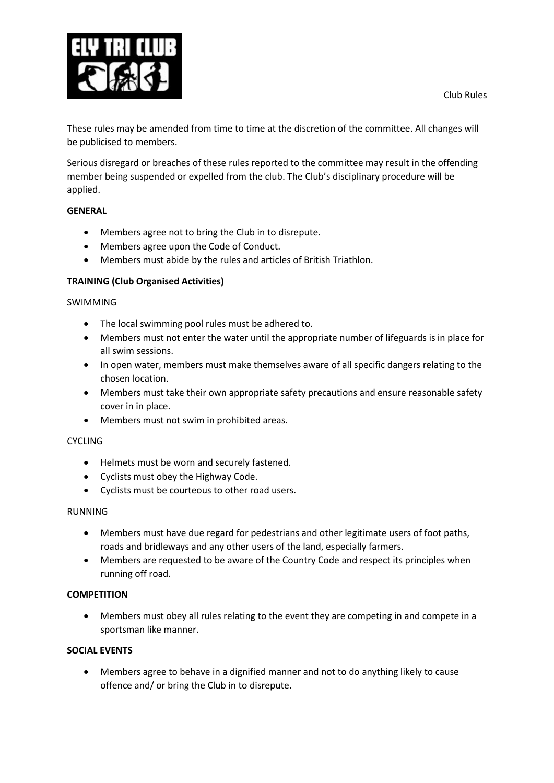

These rules may be amended from time to time at the discretion of the committee. All changes will be publicised to members.

Serious disregard or breaches of these rules reported to the committee may result in the offending member being suspended or expelled from the club. The Club's disciplinary procedure will be applied.

### **GENERAL**

- Members agree not to bring the Club in to disrepute.
- Members agree upon the Code of Conduct.
- Members must abide by the rules and articles of British Triathlon.

## **TRAINING (Club Organised Activities)**

#### SWIMMING

- The local swimming pool rules must be adhered to.
- Members must not enter the water until the appropriate number of lifeguards is in place for all swim sessions.
- In open water, members must make themselves aware of all specific dangers relating to the chosen location.
- Members must take their own appropriate safety precautions and ensure reasonable safety cover in in place.
- Members must not swim in prohibited areas.

#### **CYCLING**

- Helmets must be worn and securely fastened.
- Cyclists must obey the Highway Code.
- Cyclists must be courteous to other road users.

#### RUNNING

- Members must have due regard for pedestrians and other legitimate users of foot paths, roads and bridleways and any other users of the land, especially farmers.
- Members are requested to be aware of the Country Code and respect its principles when running off road.

#### **COMPETITION**

 Members must obey all rules relating to the event they are competing in and compete in a sportsman like manner.

### **SOCIAL EVENTS**

 Members agree to behave in a dignified manner and not to do anything likely to cause offence and/ or bring the Club in to disrepute.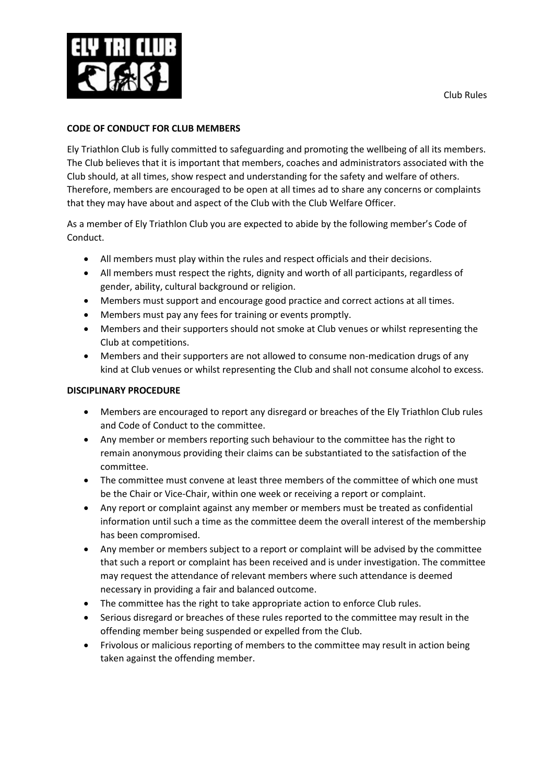

# **CODE OF CONDUCT FOR CLUB MEMBERS**

Ely Triathlon Club is fully committed to safeguarding and promoting the wellbeing of all its members. The Club believes that it is important that members, coaches and administrators associated with the Club should, at all times, show respect and understanding for the safety and welfare of others. Therefore, members are encouraged to be open at all times ad to share any concerns or complaints that they may have about and aspect of the Club with the Club Welfare Officer.

As a member of Ely Triathlon Club you are expected to abide by the following member's Code of Conduct.

- All members must play within the rules and respect officials and their decisions.
- All members must respect the rights, dignity and worth of all participants, regardless of gender, ability, cultural background or religion.
- Members must support and encourage good practice and correct actions at all times.
- Members must pay any fees for training or events promptly.
- Members and their supporters should not smoke at Club venues or whilst representing the Club at competitions.
- Members and their supporters are not allowed to consume non-medication drugs of any kind at Club venues or whilst representing the Club and shall not consume alcohol to excess.

## **DISCIPLINARY PROCEDURE**

- Members are encouraged to report any disregard or breaches of the Ely Triathlon Club rules and Code of Conduct to the committee.
- Any member or members reporting such behaviour to the committee has the right to remain anonymous providing their claims can be substantiated to the satisfaction of the committee.
- The committee must convene at least three members of the committee of which one must be the Chair or Vice-Chair, within one week or receiving a report or complaint.
- Any report or complaint against any member or members must be treated as confidential information until such a time as the committee deem the overall interest of the membership has been compromised.
- Any member or members subject to a report or complaint will be advised by the committee that such a report or complaint has been received and is under investigation. The committee may request the attendance of relevant members where such attendance is deemed necessary in providing a fair and balanced outcome.
- The committee has the right to take appropriate action to enforce Club rules.
- Serious disregard or breaches of these rules reported to the committee may result in the offending member being suspended or expelled from the Club.
- Frivolous or malicious reporting of members to the committee may result in action being taken against the offending member.